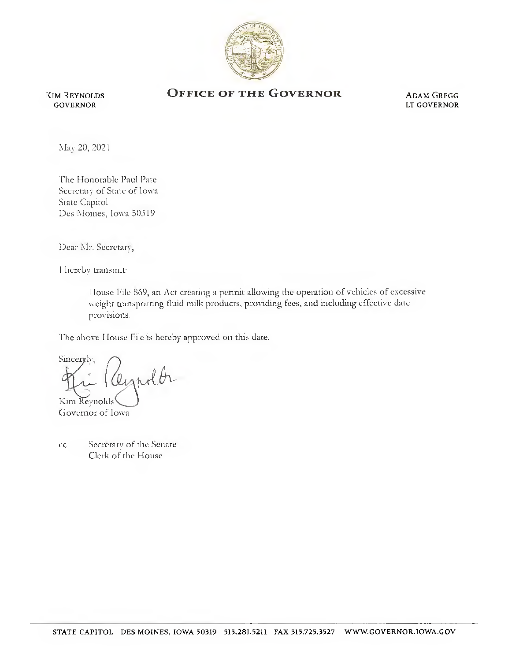

Kim Reynolds GOVERNOR

## OFFICE OF THE GOVERNOR ADAM GREGG

LT GOVERNOR

Mav 20, 2021

The Honorable Paul Pate Secretary of State of Iowa State Capitol Des Moines, Iowa 50319

Dear Mr. Secretary,

I hereby transmit:

House File 869, an Act creating a permit allowing the operation of vehicles of excessive weight transporting fluid milk products, providing fees, and including effective date provisions.

The above House File is hereby approved on this date.

Sincerely, eighth Kim Reynolds

Ciovernor of Iowa

cc: Secretary of the Senate Clerk of the House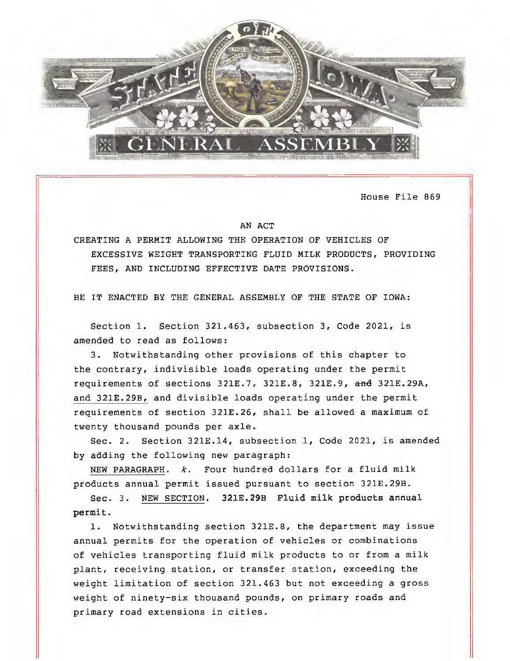

House File 869

## AN ACT

CREATING A PERMIT ALLOWING THE OPERATION OF VEHICLES OF EXCESSIVE WEIGHT TRANSPORTING FLUID MILK PRODUCTS, PROVIDING FEES, AND INCLUDING EFFECTIVE DATE PROVISIONS.

BE IT ENACTED BY THE GENERAL ASSEMBLY OF THE STATE OF IOWA:

Section 1. Section 321.463, subsection 3, Code 2021, is amended to read as follows:

3. Notwithstanding other provisions of this chapter to the contrary, indivisible loads operating under the permit requirements of sections  $321E.7$ ,  $321E.8$ ,  $321E.9$ , and  $321E.29A$ , and 321E.29B, and divisible loads operating under the permit requirements of section 321E.26, shall be allowed a maximum of twenty thousand pounds per axle.

Sec. 2. Section 321E.14, subsection 1, Code 2021, is amended by adding the following new paragraph:

NEW PARAGRAPH, k. Four hundred dollars for a fluid milk products annual permit issued pursuant to section 321E.29B.

Sec. 3. NEW SECTION. 321E.29B Fluid milk products annual permit.

1. Notwithstanding section 321E.8, the department may issue annual permits for the operation of vehicles or combinations of vehicles transporting fluid milk products to or from a milk plant, receiving station, or transfer station, exceeding the weight limitation of section 321.463 but not exceeding a gross weight of ninety-six thousand pounds, on primary roads and primary road extensions in cities.